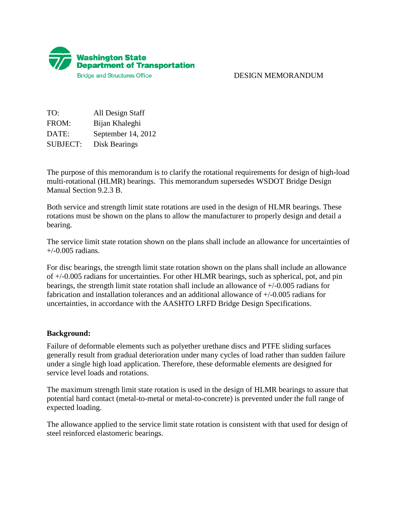

## DESIGN MEMORANDUM

TO: All Design Staff FROM: Bijan Khaleghi DATE: September 14, 2012 SUBJECT: Disk Bearings

The purpose of this memorandum is to clarify the rotational requirements for design of high-load multi-rotational (HLMR) bearings. This memorandum supersedes WSDOT Bridge Design Manual Section 9.2.3 B.

Both service and strength limit state rotations are used in the design of HLMR bearings. These rotations must be shown on the plans to allow the manufacturer to properly design and detail a bearing.

The service limit state rotation shown on the plans shall include an allowance for uncertainties of  $+/-0.005$  radians.

For disc bearings, the strength limit state rotation shown on the plans shall include an allowance of +/-0.005 radians for uncertainties. For other HLMR bearings, such as spherical, pot, and pin bearings, the strength limit state rotation shall include an allowance of +/-0.005 radians for fabrication and installation tolerances and an additional allowance of +/-0.005 radians for uncertainties, in accordance with the AASHTO LRFD Bridge Design Specifications.

## **Background:**

Failure of deformable elements such as polyether urethane discs and PTFE sliding surfaces generally result from gradual deterioration under many cycles of load rather than sudden failure under a single high load application. Therefore, these deformable elements are designed for service level loads and rotations.

The maximum strength limit state rotation is used in the design of HLMR bearings to assure that potential hard contact (metal-to-metal or metal-to-concrete) is prevented under the full range of expected loading.

The allowance applied to the service limit state rotation is consistent with that used for design of steel reinforced elastomeric bearings.